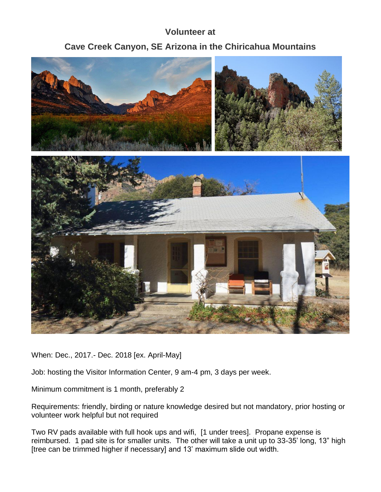## **Volunteer at**

## **Cave Creek Canyon, SE Arizona in the Chiricahua Mountains**



When: Dec., 2017.- Dec. 2018 [ex. April-May]

Job: hosting the Visitor Information Center, 9 am-4 pm, 3 days per week.

Minimum commitment is 1 month, preferably 2

Requirements: friendly, birding or nature knowledge desired but not mandatory, prior hosting or volunteer work helpful but not required

Two RV pads available with full hook ups and wifi, [1 under trees]. Propane expense is reimbursed. 1 pad site is for smaller units. The other will take a unit up to 33-35' long, 13" high [tree can be trimmed higher if necessary] and 13' maximum slide out width.